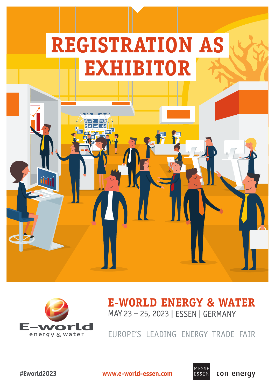



# **E-WORLD ENERGY & WATER** MAY 23 – 25, 2023 | ESSEN | GERMANY

EUROPE'S LEADING ENERGY TRADE FAIR



**#Eworld2023 www.e-world-essen.com**



conenergy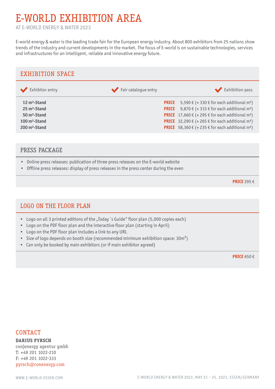# E-WORLD EXHIBITION AREA

AT E-WORLD ENERGY & WATER 2023

E-world energy & water is the leading trade fair for the European energy industry. About 800 exhibitors from 25 nations show trends of the industry and current developments in the market. The focus of E-world is on sustainable technologies, services and infrastructures for an intelligent, reliable and innovative energy future.



### PRESS PACKAGE

- Online press releases: publication of three press releases on the E-world website
- Offline press releases: display of press releases in the press center during the even

**PRICE** 295 €

## LOGO ON THE FLOOR PLAN

- Logo on all 3 printed editions of the "Today´s Guide" floor plan (5,000 copies each)
- Logo on the PDF floor plan and the interactive floor plan (starting in April)
- Logo on the PDF floor plan includes a link to any URL
- Size of logo depends on booth size (recommended minimum exhibition space: 30m<sup>2</sup>)
- Can only be booked by main exhibitors (or if main exhibitor agreed)

**PRICE** 650 €

### CONTACT

**DARIUS PYRSCH** con|energy agentur gmbh T: +49 201 1022-210 F: +49 201 1022-333 pyrsch@conenergy.com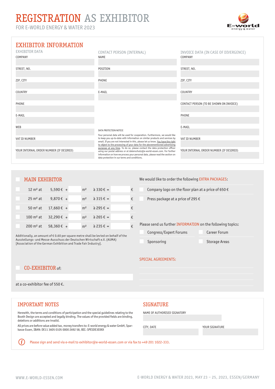# REGISTRATION AS EXHIBITOR

FOR E-WORLD ENERGY & WATER 2023



### EXHIBITOR INFORMATION

| <b>EXHIBITOR DATA</b><br>COMPANY        | CONTACT PERSON (INTERNAL)<br><b>NAME</b>                                                                                                                                                                                                       | INVOICE DATA (IN CASE OF DIVERGENCE)<br>COMPANY |
|-----------------------------------------|------------------------------------------------------------------------------------------------------------------------------------------------------------------------------------------------------------------------------------------------|-------------------------------------------------|
|                                         |                                                                                                                                                                                                                                                |                                                 |
| STREET, NO.                             | POSITION                                                                                                                                                                                                                                       | STREET, NO.                                     |
|                                         |                                                                                                                                                                                                                                                |                                                 |
| ZIP, CITY                               | PHONE                                                                                                                                                                                                                                          | ZIP, CITY                                       |
| COUNTRY                                 | E-MAIL                                                                                                                                                                                                                                         | COUNTRY                                         |
|                                         |                                                                                                                                                                                                                                                |                                                 |
| PHONE                                   |                                                                                                                                                                                                                                                | CONTACT PERSON (TO BE SHOWN ON INVOICE)         |
|                                         |                                                                                                                                                                                                                                                |                                                 |
| E-MAIL                                  |                                                                                                                                                                                                                                                | PHONE                                           |
|                                         |                                                                                                                                                                                                                                                |                                                 |
| WEB                                     | DATA PROTECTION NOTICE                                                                                                                                                                                                                         | E-MAIL                                          |
|                                         | Your personal data will be used for cooperation. Furthermore, we would like                                                                                                                                                                    |                                                 |
| VAT ID NUMBER                           | to keep you up-to-date with information on similar products and services by<br>email. If you are not interested in this, please let us know. You have the right<br>to object to the processing of your data for the abovementioned advertising | VAT ID NUMBER                                   |
| YOUR INTERNAL ORDER NUMBER (IF DESIRED) | purposes at any time. To do so, please contact the data protection officer<br>using our postal address or at datenschutz@e-world-essen.com. For further                                                                                        | YOUR INTERNAL ORDER NUMBER (IF DESIRED)         |
|                                         | information on how we process your personal data, please read the section on                                                                                                                                                                   |                                                 |

data protection in our terms and conditions.

### MAIN EXHIBITOR

| $12 \text{ m}^2$ at              | $5,590 \in +$                   | m <sup>2</sup> | $\hat{a}$ 330 $\hat{\epsilon}$ = | € |
|----------------------------------|---------------------------------|----------------|----------------------------------|---|
| $25 \text{ m}^2$ at              | 9,870 $\epsilon$ +              |                | $m^2$ à 315 $\epsilon$ =         | € |
|                                  | 50 m <sup>2</sup> at 17,660 € + |                | $m^2$ à 295 € =                  | € |
| 100 m <sup>2</sup> at 32,290 € + |                                 |                | $m^2$ à 265 € =                  | € |
| $200 \,\mathrm{m}^2$ at          | $58,360 \in +$                  | m <sup>2</sup> | $\hat{a}$ 235 $\epsilon$ =       | € |

Additionally, an amount of € 0.60 per square metre shall be levied on behalf of the Ausstellungs- und Messe-Ausschuss der Deutschen Wirtschaft e.V. (AUMA) [Association of the German Exhibition and Trade Fair Industry].

### We would like to order the following EXTRA PACKAGES:

Company logo on the floor plan at a price of 650  $\epsilon$ 

Press package at a price of 295 €

Please send us further INFORMATION on the following topics:

Congress/Expert Forums

Career Forum

Sponsoring

SPECIAL AGREEMENTS:

Storage Areas

### CO-EXHIBITOR of:

at a co-exhibitor fee of 550 €.

### IMPORTANT NOTES SIGNATURE

 $(i)$ 

Herewith, the terms and conditions of participation and the special guidelines relating to the Booth Design are accepted and legally binding. The values of the provided fields are binding, deletions or additions are invalid.

All prices are before value added tax, money transfers to: E-world energy & water GmbH, Sparkasse Essen, IBAN: DE11 3605 0105 0000 2692 58, BIC: SPESDE3EXXX

### NAME OF AUTHORISED SIGNATORY

CITY, DATE YOUR SIGNATURE

Please sign and send via e-mail to exhibitor@e-world-essen.com or via fax to +49 201 1022-333.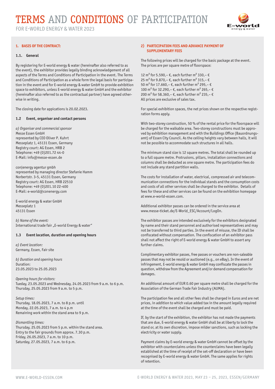

#### **1. BASIS OF THE CONTRACT:**

#### **1.1. General**

By registering for E-world energy & water (hereinafter also referred to as the event), the exhibitor provides legally binding acknowledgement of all aspects of the Terms and Conditions of Participation in the event. The Terms and Conditions of Participation as a whole form the legal basis for participation in the event and for E-world energy & water GmbH to provide exhibition space to exhibitors, unless E-world energy & water GmbH and the exhibitor (hereinafter also referred to as the contractual partner) have agreed otherwise in writing.

The closing date for appications is 20.02.2023.

#### **1.2 Event, organiser and contact persons**

*a) Organiser and commercial sponsor* Messe Essen GmbH represented by CEO Oliver P. Kuhrt Messeplatz 1, 45131 Essen, Germany Registry court: AG Essen, HRB 2 Telephone: +49 (0)201.72 44-0 E-Mail: info@messe-essen.de

con|energy agentur gmbh represented by managing director Stefanie Hamm Norbertstr. 3-5, 45131 Essen, Germany Registry court: AG Essen, HRB 22510 Telephone: +49 (0)201.10 22-400 E-Mail: e-world@conenergy.com

E-world energy & water GmbH Messeplatz 1 45131 Essen

*b) Name of the event:* International trade fair "E-world Energy & water"

#### **1.3 Event location, duration and opening hours**

*a) Event location:* Germany, Essen, Fair site

*b) Duration and opening hours* Duration: 23.05.2023 to 25.05.2023

*Opening hours for visitors:* Tueday, 23.05.2023 and Wednesday, 24.05.2023 from 9 a.m. to 6 p.m. Thursday, 25.05.2023 from 9 a.m. to 5 p.m.

*Setup times:* Thursday, 18.05.2023, 7 a.m. to 8 p.m. until Monday, 22.05.2023, 7 a.m. to 4 p.m Remaining work within the stand area to 9 p.m.

#### *Dismantling times:*

Thursday, 25.05.2023 from 5 p.m. within the stand area. Entry to the fair grounds from approx. 7.30 p.m. Friday, 26.05.2023, 7 a.m. to 10 p.m. Saturday, 27.05.2023, 7 a.m. to 6 p.m.

#### **2) PARTICIPATION FEES AND ADVANCE PAYMENT OF SUPPLEMENTARY FEES**

The following prices will be charged for the basic package at the event. The prices are per square metre of floorspace:

12 m<sup>2</sup> for 5.590, -  $\epsilon$ , each further m<sup>2</sup> 330, -  $\epsilon$ 25 m<sup>2</sup> for 9.870, – €, each further m<sup>2</sup> 315, – € 50 m² for 17.660,– €, each further m² 295,– € 100 m<sup>2</sup> for 32.290, – €, each further m<sup>2</sup> 265, – € 200 m<sup>2</sup> for 58.360, – €, each further m<sup>2</sup> 235, – € All prices are exclusive of sales tax.

For special exhibition spaces, the net prices shown on the respective registration forms apply.

With two-storey construction, 50 % of the rental price for the floorspace will be charged for the walkable area. Two-storey constructions must be approved by exhibition management and with the Buildings Office (Bauordnungsamt) of Essen City Council. As the ceiling heights vary between halls, it will not be possible to accommodate such structures in all halls.

The minimum stand size is 12 square metres. The total shall be rounded up to a full square metre. Protrusions, pillars, installation connections and columns shall be deducted as one square metre. The participation fees do not include any stand partition walls.

The costs for installation of water, electrical, compressed air and telecommunication connections for the individual stands and the consumption costs and costs of all other services shall be charged to the exhibitor. Details of fees for these and other services can be found on the exhibition homepage at www.e-world-essen.com.

Additional exhibitor passes can be ordered in the service area at www.messe-ticket.de/E-World\_ESC/Account/LogOn.

The exhibitor passes are intended exclusively for the exhibitors designated by name and their stand personnel and authorised representatives and may not be transferred to third parties. In the event of misuse, the ID shall be confiscated without compensation. The confiscation of an exhibitor pass shall not affect the right of E-world energy & water GmbH to assert any further claims.

Complimentary exhibitor passes, free passes or vouchers are non-saleable passes that may not be resold or auctioned (e.g., on eBay). In the event of infringement, E-world energy & water GmbH may confiscate the passes in question, withdraw from the Agreement and/or demand compensation for damages.

An additional amount of EUR 0.60 per square metre shall be charged for the Association of the German Trade Fair Industry (AUMA).

The participation fee and all other fees shall be charged in Euros and are net prices, in addition to which value added tax in the amount legally required at the time of the event shall be charged and must be paid.

If, by the start of the exhibition, the exhibitor has not made the payments that are due, E-world energy & water GmbH shall be at liberty to lock the stand or, at its own discretion, impose milder sanctions, such as locking the electricity or water supply.

Payment claims by E-world energy & water GmbH cannot be offset by the exhibitor with counterclaims unless the counterclaims have been legally established at the time of receipt of the set-off declaration or have been recognised by E-world energy & water GmbH. The same applies for rights of retention.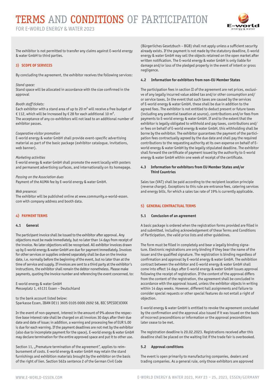

The exhibitor is not permitted to transfer any claims against E-world energy & water GmbH to third parties.

#### **3) SCOPE OF SERVICES**

By concluding the agreement, the exhibitor receives the following services:

#### *Stand space:*

Stand space will be allocated in accordance with the size confirmed in the approval

#### *Booth staff tickets:*

Each exhibitor with a stand area of up to 20 m² will receive a free budget of € 112, which will be increased by € 28 for each additional 10 m<sup>2</sup>. The acceptance of any co-exhibitors will not lead to an additional number of exhibitor passes.

#### *Cooperative visitor promotion*

E-world energy & water GmbH shall provide event-specific advertising material as part of the basic package (exhibitor catalogue, invitations, web banner).

#### *Marketing activities*

E-world energy & water GmbH shall promote the event locally with posters and permanent advertising surfaces, and internationally on its homepage.

#### *Passing on the Association dues*

Payment of the AUMA fee by E-world energy & water GmbH.

#### *Web presence:*

The exhibitor will be published online at www.community.e-world-essen. com with company address and booth data.

### **4) PAYMENT TERMS**

#### **4.1 General**

The participant invoice shall be issued to the exhibitor after approval. Any objections must be made immediately, but no later than 14 days from receipt of the invoice. No later objections will be recognised. All exhibitor invoices drawn up by E-world energy & water GmbH are due for payment immediately. Invoices for other services or supplies ordered separately shall be due on the invoice date, i.e. normally before the beginning of the event, but no later than at the time of service and supply. If invoices are sent to a third party at the exhibitor's instructions, the exhibitor shall remain the debtor nonetheless. Please make payments, quoting the invoice number and referencing the event concerned, to:

E-world energy & water GmbH Messeplatz 1, 45131 Essen – Deutschland

to the bank account listed below: Sparkasse Essen, IBAN DE11 3605 0105 0000 2692 58, BIC SPESDE3EXXX

In the event of non-payment, interest in the amount of 9% above the respective base interest rate shall be charged on all invoices 30 days after their due date and date of issue; in addition, a warning and processing fee of EUR 5.00 is due for each warning. If the payment deadlines are not met by the exhibitor (also due to incomplete payment for the space), E-world energy & water GmbH may declare termination for the entire approved space and put it to other use.

Section 11, "Premature termination of the agreement", applies to reimbursement of costs. E-world energy & water GmbH may retain the stand furnishings and exhibition materials brought by the exhibitor on the basis of the right of lien. Section 562a sentence 2 of the German Civil Code

(Bürgerliches Gesetzbuch – BGB) shall not apply unless a sufficient security already exists. If the payment is not made by the statutory deadline, E-world energy & water GmbH may sell the objects retained on the open market after written notification. The E-world energy & water GmbH is only liable for damage and/or loss of the pledged property in the event of intent or gross negligence.

#### **4.2 Information for exhibitors from non-EU Member States**

The participation fees in section II of the agreement are net prices, exclusive of any legally incurred value added tax and/or other consumption and/ or service taxes. In the event that such taxes are caused by the services of E-world energy & water GmbH, these shall be due in addition to the agreed fees. The exhibitor is not entitled to deduct present or future taxes (including any potential taxation at source), contributions and/or fees from payments to E-world energy & water GmbH. If and to the extent that the exhibitor is legally obligated to withhold and pay taxes, contributions and/ or fees on behalf of E-world energy & water GmbH, this withholding shall be borne by the exhibitor. The exhibitor guarantees the payment of the participation fees contractually agreed by the due date and shall pay the required contributions to the requesting authority at its own expense on behalf of Eworld energy & water GmbH by the legally stipulated deadline. The exhibitor shall forward the certificate of payment issued by the authority to E-world energy & water GmbH within one week of receipt of the certificate.

#### **4.3 Information for exhibitors from EU Member States and/or Third Countries**

Sales tax (VAT) shall be paid according to the recipient location principle (reverse charge). Exceptions to this rule are entrance fees, catering services and energy bills, for which a sales tax rate of 19% is currently applicable.

### **5) GENERAL CONTRACTUAL TERMS**

#### **5.1 Conclusion of an agreement**

A basic package is ordered when the registration forms provided are filled in and submitted, including acknowledgement of these Terms and Conditions of Participation, the valid price lists and other guidelines.

The form must be filled in completely and bear a legally binding signature. Electronic registrations are only binding if they bear the name of the issuer and the qualified signature. The registration is binding regardless of confirmation and approval by E-world energy & water GmbH. The exhibition contract between the exhibitor and E-world energy & water GmbH shall come into effect 14 days after E-world energy & water GmbH issues approval following the receipt of registration. If the content of the approval differs from the content of the registration, the agreement shall be concluded in accordance with the approval issued, unless the exhibitor objects in writing within 14 days weeks. However, different hall assignments and failure to consider special requests or other special features do not entail a right of objection.

E-world energy & water GmbH is entitled to revoke the agreement concluded by the confirmation and the approval also issued if it was issued on the basis of incorrect preconditions or information or the approval preconditions later cease to be met.

The registration deadline is 20.02.2023. Registrations received after this deadline shall be placed on the waiting list if the trade fair is overbooked.

#### **5.2 Approval conditions**

The event is open primarily to manufacturing companies, dealers and trading companies. As a general rule, only those exhibitors are approved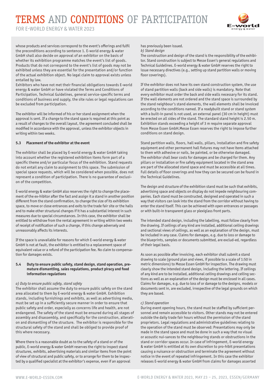FOR E-WORLD ENERGY & WATER 2023



whose products and services correspond to the event's offerings and fulfil the preconditions according to sentence 1. E-world energy & water GmbH shall also decide on approval of an exhibitor on the basis of whether its exhibition programme matches the event's list of goods. Products that do not correspond to the event's list of goods may not be exhibited unless they are essential for the presentation and/or function of the actual exhibition object. No legal claim to approval exists unless entailed by law.

Exhibitors who have not met their financial obligations towards E-world energy & water GmbH or have violated the Terms and Conditions of Participation, Technical Guidelines, general service-specific terms and conditions of business and supply, the site rules or legal regulations can be excluded from participation.

The exhibitor will be informed of his or her stand assignment when the approval is sent. If a change to the stand space is required at this point as a result of changes to the overall layout, the agreement concluded shall be modified in accordance with the approval, unless the exhibitor objects in writing within two weeks.

#### **5.3 Placement of the exhibitor at the event**

The exhibitor shall be placed by E-world energy & water GmbH taking into account whether the registered exhibition items form part of a specific theme and/or particular focus of the exhibition. Stand requests do not entail any claim to assignment to this space. The submission of special space requests, which will be considered when possible, does not represent a condition of participation. There is no guarantee of exclusion of the competition.

E-world energy & water GmbH also reserves the right to change the placement of the ex-hibitor after the fact and assign it a stand in another position different from the stand confirmation, to change the size of its exhibition space, to move or close entrances and exits to the trade fair site or the halls and to make other structural changes if it has a substantial interest in such measures due to special circumstances. In this case, the exhibitor shall be entitled to withdraw from the rental agreement in writing within two weeks of receipt of notification of such a change, if this change adversely and unreasonably affects its interests.

If the space is unavailable for reasons for which E-world energy & water GmbH is not at fault, the exhibitor is entitled to a replacement space of equivalent value or a refund of the participation fee. No claim to compensation for damages exists.

#### **5.4 Duty to ensure public safety, stand design, stand operation, premature dismantling, sales regulations, product piracy and food information regulations**

#### *a) Duty to ensure public safety, stand safety*

The exhibitor shall assume the duty to ensure public safety on the stand area allocated to them by E-world energy & water GmbH. Exhibition stands, including furnishings and exhibits, as well as advertising media, must be set up in a sufficiently secure manner in order to ensure that public safety and order, especially as concerns life and health, are not endangered. The safety of the stand must be ensured during all stages of assembly and disassembly, and specifically for the construction, alteration and dismantling of the structure. The exhibitor is responsible for the structural safety of the stand and shall be obliged to provide proof of this where necessary.

Where there is a reasonable doubt as to the safety of a stand or of the public, E-world energy & water GmbH reserves the right to inspect stand structures, exhibits, advertising materials and similar items from the point of view of structural and public safety, or to arrange for them to be inspected by a qualified specialist at the exhibitor's expense, even if an approval

has previously been issued.

#### *b) Stand design*

The construction and design of the stand is the responsibility of the exhibitor. Stand construction is subject to Messe Essen's general regulations and Technical Guidelines. E-world energy & water GmbH reserves the right to issue necessary directives (e.g., setting up stand partition walls or moving floor coverings).

If the exhibitor does not have its own stand construction system, the use of stand partition walls (back and side walls) is mandatory. Note that every exhibitor must order the back and side walls necessary for its stand. If the wall elements are not ordered and the stand space is surrounded by the stand neighbour's stand elements, the wall elements shall be invoiced according to the conditions named. If a readybuilt stand or stand system with a built-in panel is not used, an external panel (30 cm in height) must be erected on all sides of the stand. The standard stand height is 2.50 m. Exhibition stands exceeding a height of 3 m require separate approval from Messe Essen GmbH.Messe Essen reserves the right to impose further conditions on stand design.

Stand partition walls, floors, hall walls, pillars, installation and fire safety equipment and other permanent hall fixtures may not have items attached to them with adhesive or nails, be painted, or be otherwise damaged. The exhibitor shall bear costs for damages and be charged for them. Any pillars or installation or fire safety equipment located in the stand area are part of the allocated stand space and must be accessible at all times. Full details of floor coverings and how they can be secured can be found in the Technical Guidelines.

The design and structure of the exhibition stand must be such that exhibits, advertising space and objects on display do not impede neighbouring companies. Each stand must be constructed, designed and operated in such a way that visitors can look into the stand from the corridor without having to enter the stand itself. This can be achieved with open entrances or passages or with built-in transparent glass or plexiglass front parts.

The intended stand design, including the labelling, must follow clearly from the drawing. If ceilings of any kind are installed, additional ceiling drawings and sectional views of ceilings, as well as an explanation of the design, must be included in any case. Claims for damages, e.g. due to loss or damage to the blueprints, samples or documents submitted, are exclud-ed, regardless of their legal basis.

As soon as possible after invoicing, each exhibitor shall submit a stand drawing to scale (ground plan and views, if possible to a scale of 1:50 in metric dimensions) to Messe Essen GmbH for inspection. The drawing must clearly show the intended stand design, including the lettering. If ceilings of any kind are to be installed, additional ceiling drawings and ceiling sections as well as an explanation of the design must be enclosed in all cases. Claims for damages, e.g. due to loss of or damage to the designs, models or documents sent in, are excluded, irrespective of the legal grounds on which they are based.

#### *c) Stand operation*

During event opening hours, the stand must be staffed by sufficient personnel and remain accessible to visitors. Other stands may not be entered outside the daily trade fair hours without the permission of the stand proprietors. Legal regulations and administrative guidelines relating to the operation of the stand must be observed: Presentations may only be made in the stand space and must be done in such a way that no visual or acoustic nui-sances to the neighbouring stands or obstructions in the stand or corridor spaces occur. In case of infringement, E-world energy & water GmbH is entitled at its own discretion to pro-hibit presentations causing a nuisance or obstruction and terminate the agreement without notice in the event of repeated infringement. In this case the exhibitor releases E-world energy & water GmbH from claims for damages asserted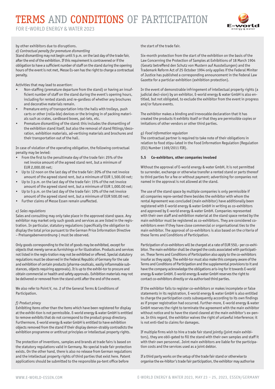FOR E-WORLD ENERGY & WATER 2023



by other exhibitors due to disruptions.

*d) Contractual penalty for premature dismantling*

Stand dismantling may not begin until 5 p.m. on the last day of the trade fair, after the end of the exhibition. If this requirement is contravened or if the obligation to have a sufficient number of staff on the stand during the opening hours of the event is not met, Messe Es-sen has the right to charge a contractual penalty.

Activities that may lead to assertion:

- Non-staffing (premature departure from the stand) or having an insufficient number of staff on the stand during the event's opening hours, including for rented stands and re-gardless of whether any brochures and decorative materials remain.
- Premature entry of transportation into the halls with trolleys, push carts or other (rolla-ble) devices or the bringing in of packing materials such as crates, cardboard boxes, pal-lets, etc.
- Premature dismantling of the stand: this includes the dismantling of the exhibition stand itself, but also the removal of stand fittings/decoration, exhibition materials, ad-vertising materials and brochures and their transportation out of the hall.

In case of violation of the operating obligation, the following contractual penalty may be levied:

- From the first to the penultimate day of the trade fair: 25% of the net invoice amount of the agreed stand rent, but a minimum of EUR 2,000.00 net;
- Up to 12 noon on the last day of the trade fair: 20% of the net invoice amount of the agreed stand rent, but a minimum of EUR 1,500.00 net;
- Up to 3 p.m. on the last day of the trade fair: 15% of the net invoice amount of the agreed stand rent, but a minimum of EUR 1,000.00 net;
- Up to 5 p.m. on the last day of the trade fair: 10% of the net invoice amount of the agreed stand rent, but a minimum of EUR 500.00 net;
- Further claims of Messe Essen remain unaffected.

#### *e) Sales regulations*

Sales and consulting may only take place in the approved stand space. Any exhibitor may market only such goods and services as are listed in the registration. In particular, statutory regulations (specifically the obligation to display the total price pursuant to the German Price Information Directive – Preisangabenverordnung-) must be observed.

Only goods corresponding to the list of goods may be exhibited, except for objects that merely serve as furnishings or for illustration. Products and services not listed in the regis-tration may not be exhibited or offered. Special statutory regulations must be observed in the Federal Republic of Germany for the sale and exhibition of certain products (pharma-ceuticals, easily inflammable substances, objects requiring approvals). It is up to the exhibi-tor to procure and obtain commercial or health and safety approvals. Exhibition materials may not be delivered or removed from the stand until after the end of the event.

We also refer to Point V, no. 2 of the General Terms & Conditions of Participation.

#### *f) Product piracy*

Exhibiting items other than the items which have been registered for display at the exhibi-tion is not permissible. E-world energy & water GmbH is entitled to remove exhibits that do not correspond to the product group directory. Furthermore, E-world energy & water GmbH is entitled to have exhibition objects removed from the stand if their display demon-strably contradicts the exhibition programme or antitrust principles or intellectual property rights.

The protection of inventions, samples and brands at trade fairs is based on the statutory regulations valid in Germany. No special trade fair protection exists. On the other hand, there is also no release from German regulations and the intellectual property rights of third parties that exist here. Patent applications should be submitted to the responsible pa-tent office before

the start of the trade fair.

Six-month protection from the start of the exhibition on the basis of the Law Concerning the Protection of Samples at Exhibitions of 18 March 1904 (Gesetz betreffend den Schutz von Mustern auf Ausstellungen) and the Trademark Reform Act of 25 October 1994 only applies if the Federal Miniter of Justice has published a corresponding announcement in the Federal Law Gazette for a particlar exhibition (exhibition protection).

In the event of demonstrable infringement of intellectual property rights (a judicial deci-sion) by an exhibitor, E-world energy & water GmbH is also entitled, but not obligated, to exclude the exhibitor from the event in progress and/or future events.

The exhibitor makes a binding and irrevocable declaration that it has created the products it exhibits itself or that they are permissible copies or imitations of other vendors or other third parties.

#### *g) Food information regulation*

The contractual partner is required to take note of their obligations in relation to food stipu-lated in the Food Information Regulation (Regulation (EU) Number 1169/2011 FIR).

#### **5.5 Co-exhibitors, other companies involved**

Without the approval of E-world energy & water GmbH, it is not permitted to surrender, exchange or otherwise transfer a rented stand or parts thereof to third parties for a fee or without payment; advertising for companies not named in the approval is not allowed at the stand.

The use of the stand space by multiple companies is only permissible if all companies repre-sented there besides the exhibitor with whom the rental Agreement was concluded (main exhibitor) have additionally been registered with E-world energy & water GmbH in writing as co-exhibitors and approved by E-world energy & water GmbH. Companies represented with their own staff and exhibition material at the stand space rented by the main exhibitor must be registered as co-exhibitors. They are considered coexhibitors even if they have close commercial or organisational ties to the main exhibitor. The approval of co-exhibitors is also based on the criteria of these Terms and Conditions of Participation.

Participation of co-exhibitors will be charged at a rate of EUR 550,- per co-exhibitor. The main exhibitor shall be charged the costs associated with participation. These Terms and Conditions of Participation also apply to the co-exhibitors insofar as they apply. The exhibi-tor must also make this company aware of the Terms and Conditions of Participation and the supplemental provisions to it and have the company acknowledge the obligations aris-ing for it towards E-world energy & water GmbH. E-world energy & water GmbH reserves the right to contact co-exhibitors directly or via authorised third parties.

If the exhibitor fails to register co-exhibitors or makes incomplete or false statements in its registration, E-world energy & water GmbH is also entitled to charge the participation costs subsequently according to its own findings as if proper registration had occurred. Further-more, E-world energy & water GmbH reserves the right to terminate the agreement with the main exhibitor without notice and to have the stand cleared at the main exhibitor's ex-pense. In this regard, the exhibitor waives the right of unlawful interference; it is not enti-tled to claims for damages.

If multiple firms wish to hire a trade fair stand jointly (joint main exhibitors), they are obli-gated to fill the stand with their own samples and staff it with their own personnel. Joint main exhibitors are liable for the participation costs and the services used as a joint debtor.

If a third party works on the setup of the trade fair stand or otherwise to organise the ex-hibitor's trade fair participation, the exhibitor may authorise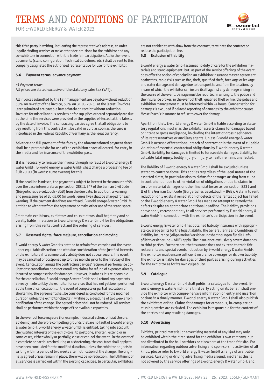FOR E-WORLD ENERGY & WATER 2023

this third party in writing, indi-cating the representative's address, to order legally binding services or make other declara-tions for the exhibitor and any co-exhibitors in connection with the trade fair participation. All further event documents (stand configuration, Technical Guidelines, etc.) shall be sent to this company designated the authorised representative for use for the exhibitor.

#### **5.6 Payment terms, advance payment**

#### *a) Payment terms*

All prices are stated exclusive of the statutory sales tax (VAT).

All invoices submitted by the Fair management are payable without reduction, 50 % on re-ceipt of the invoice, 50 % on 31.03.2023, at the latest. Invoices later submitted are payable immediately on receipt without reduction. Invoices for miscellaneous services or for sup-plies ordered separately are due at the time the services were provided or the supplies ef-fected, at the latest, by the date of invoice. The contracting parties agree that all obligations to pay resulting from this contract will be valid in Euro as soon as the Euro is introduced in the Federal Republic of Germany as the legal currency.

Advance and full payment of the fees by the aforementioned payment dates shall be a prerequisite for use of the exhibition space allocated, for entry in the media and for issu-ance of the exhibitor pass.

If it is necessary to reissue the invoice through no fault of E-world energy & water GmbH, E-world energy & water GmbH shall charge a processing fee of EUR 20.00 (in words: euros twenty) for this.

If the deadline is missed, the payment is subject to interest in the amount of 9% over the base interest rate as per section 288 II, 247 of the German Civil Code (Bürgerliches Ge-setzbuch - BGB) from the due date. In addition, a warning and processing fee of EUR 5.00 (in words: euros five) shall be charged for each warning. If the payment deadlines are missed, E-world energy & water GmbH is entitled to withdraw from the Agreement or make other use of the stand space.

Joint main exhibitors, exhibitors and co-exhibitors shall be jointly and severally liable in relation to E-world energy & water GmbH for the obligations arising from this rental contract and the ordering of services.

#### **5.7 Reserved rights, force majeure, cancellation and moving**

E-world energy & water GmbH is entitled to refrain from carrying out the event under equi-table discretion and with due consideration of the justified interests of the exhibitors if its commercial viability does not appear secure. The event may be cancelled or postponed up to three months prior to the first day of the event. Cancellation annuls the contracting par-ties' reciprocal performance obligations; cancellation does not entail any claims for refund of expenses already incurred or compensation for damages. However, insofar as it is re-sponsible for the cancellation, E-world energy & water GmbH shall refund any payments al-ready made to it by the exhibitor for services that had not yet been performed at the time of cancellation. In the event of complete or partial relocation or shortening, the agreement shall be considered as concluded for the modified duration unless the exhibitor objects in writing by a deadline of two weeks from notification of the change. The agreed prices shall not be reduced. All services shall be performed within the scope of the available capacities.

In the event of force majeure (for example, industrial action, official closure, epidemic) and therefore compelling grounds that are no fault of E-world energy & water GmbH, E-world energy & water GmbH is entitled, taking into account the justified interests of the exhibi-tors, to postpone, shorten, extend or in some cases, either wholly or partially, close or can-cel the event. In the event of a complete or partial rescheduling or a shortening, the con-tract shall apply to have been concluded for the modified duration, unless the exhibitor ob-jects in writing within a period of two weeks after notification of the change. The originally agreed prices remain in place, there will be no reduction. The fulfillment of all services is carried out within the existing capacities. In particular, exhibitors

are not entitled to with-draw from the contract, terminate the contract or reduce the participation fee.

#### **5.8 Exclusion of liability**

E-world energy & water GmbH assumes no duty of care for the exhibition materials and stand equipment, but, as part of the service offerings of the event, does offer the option of concluding an exhibition insurance master agreement against insurable risks such as fire, theft, qualified theft, breakage or leakage, and water damage and damage due to transport to and from the location, by means of which the exhibitor can insure itself against any dam-age arising in the course of the event. Damage must be reported in writing to the police and the insurance broker; in the event of theft, qualified theft or fire, the police and exhibition management must be informed within 24 hours. Compensation for damages is excluded if delayed reporting of damages by the exhibitor causes Messe Essen's insurance to refuse to cover the damage.

Apart from that, E-world energy & water GmbH is liable according to statutory regulations insofar as the exhibitor asserts claims for damages based on intent or gross negligence, in-cluding the intent or gross negligence of its representatives or ancillary agents. Unless E-world energy & water GmbH is accused of intentional breach of contract or in the event of culpable violation of essential contractual obligations by E-world energy & water GmbH, lia-bility for damages is limited to foreseeable damages. Liability for culpable fatal injury, bodily injury or injury to health remains unaffected.

The liability of E-world energy & water GmbH shall be excluded unless stated to contrary above. This applies regardless of the legal nature of the asserted claim, in particular also to claims for damages arising from culpa in contrahendo, due to other violation of obligations or due to claims in tort for material damages or other financial losses as per section 823 I and II of the German Civil Code (Bürgerliches Gesetzbuch – BGB). A claim to rent reduction only exists if remediation of defects of the rental object has failed or the E-world energy & water GmbH has made no attempt to remedy the defects despite an appropriate additional deadline. The liability provisions above apply correspondingly to all services performed by E-world energy & water GmbH in connection with the exhibitor's participation in the event.

E-world energy & water GmbH has obtained liability insurance with appropriate coverage limits for the legal liability. The General Terms and Conditions of Liability Insurance (Allge-meine Versicherungsbedingungen für die Haftpflichtversicherung – AHB) apply. The insur-ance exclusively covers damages to third parties. Furthermore, the insurance does not ex-tend to trade fair restaurants and special events not put on by E-world energy & water GmbH. The exhibitor must ensure sufficient insurance coverage for its own liability. The exhibitor is liable for damages of third parties arising during activities for the exhibitor as for its own culpability.

#### **5.9 Catalogue**

E-world energy & water GmbH shall publish a catalogue for the event. Eworld energy & water GmbH, or a third party acting on its behalf, shall provide the exhibitor with compre-hensive information on entry and insertion options in a timely manner. E-world energy & water GmbH shall also publish the exhibitors online. Claims for damages for erroneous, in-complete or missing entries are excluded. The exhibitor is responsible for the content of the entries and any resulting damages.

#### **5.10 Advertising**

Exhibits, printed material or advertising material of any kind may only be exhibited within the hired stand for the exhibitor's own company, but not distributed in the hall corridors or elsewhere at the trade fair site. For information regarding outdoor advertising and spon-sorship activities of all kinds, please refer to E-world energy & water GmbH, s range of avail-able services. Carrying or driving advertising media around, insofar as this is not covered by the service offerings of E-world energy & water GmbH, and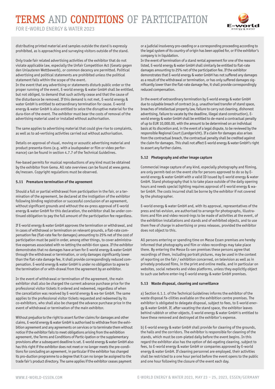FOR E-WORLD ENERGY & WATER 2023



distributing printed material and samples outside the stand is expressly prohibited, as is approaching and surveying visitors outside of the stand.

Only trade fair related advertising activities of the exhibitor that do not violate applicable law, especially the Unfair Competition Act (Gesetz gegen den Unlauteren Wettbewerb), or common decency are permitted. Political advertising and political statements are prohibited unless the political statement falls within the scope of the event.

In the event that any advertising or statements disturb public order or the proper running of the event, E-world energy & water GmbH shall be entitled, but not obliged, to demand that such activity cease and that the cause of the disturbance be removed. If this demand is not met, E-world energy & water GmbH is entitled to extraordinary termination for cause. E-world energy & water GmbH is also entitled to seize the disruptive material for the dura-tion of the event. The exhibitor must bear the costs of removal of the advertising material used or installed without authorisation.

The same applies to advertising material that could give rise to complaints, as well as to ad-vertising activities carried out without authorisation.

Details on approval of visual, moving or acoustic advertising material and product presenta-tions (e.g. with a loudspeaker or film or video performance) can be found in section 4.7.7 of the Technical Guidelines.

Fee-based permits for musical reproductions of any kind must be obtained by the exhibitor from Gema. All rate overviews can be found at www.gema. de/messen. Copyright regulations must be observed.

#### **5.11 Premature termination of the agreement**

Should a full or partial withdrawal from participation in the fair, or a termination of the agreement, be declared at the instigation of the exhibitor following binding registration or successful conclusion of an agreement, without significant grounds and without the ex-press approval of E-world energy & water GmbH for this declaration, the exhibitor shall be under continued obligation to pay the full amount of the participation fee regardless.

If E-world energy & water GmbH approves the termination or withdrawal, and in cases of withdrawal or termination on relevant grounds, a flat-rate compensation fee (flat-rate fee for damages) amounting to 25% net of the cost of participation must be paid in order, among other things, to cover administrative expenses associated with re-letting the exhibi-tion space. If the exhibitor demonstrates that no damages have arisen for E-world energy & water GmbH through the withdrawal or termination, or only damages significantly lower than the flat-rate damage fee, it shall provide correspondingly reduced compensation. E-world energy & water GmbH is under no obligation to agree to the termination of or with-drawal from the agreement by an exhibitor.

In the event of withdrawal or termination of the agreement, the main exhibitor shall also be charged the current advance purchase price for the professional visitor tickets it ordered and redeemed, regardless of when the cancellation was received by E-world energy & wa-ter GmbH. The same applies to the professional visitor tickets requested and redeemed by its co-exhibitors, who shall also be charged the advance purchase price in the event of withdrawal or termination of the main exhibitor.

Without prejudice to the right to assert further claims for damages and other claims, E-world energy & water GmbH is authorised to withdraw from the exhibition agreement and any agreements on services or to terminate them without notice if the exhibitor fails to meet obligations arising from the exhibition agreement, the Terms and Conditions of Partic-ipation or the supplementary provisions after a subsequent deadline is set. E-world energy & water GmbH also has this right if the exhibitor does not meet or no longer meets the pre-conditions for concluding an agreement, in particular if the exhibitor has changed its pro-duction programme to a degree that it can no longer be assigned to the trade fair's product directory. The same applies if the exhibitor ceases payment

or a judicial insolvency pro-ceeding or a corresponding proceeding according to the legal system of its country of origin has been applied for, or if the exhibitor's company is in liquidation.

In the event of termination of a stand rental agreement for one of the reasons listed, E-world energy & water GmbH shall similarly be entitled to flat-rate damages amounting to 25% net of the participation fee. If the exhibitor demonstrates that E-world energy & water GmbH has not suffered any damages as a result of the withdrawal or termination, or has only suffered damages significantly lower than the flat-rate damage fee, it shall provide correspondingly reduced compensation.

In the event of extraordinary termination by E-world energy & water GmbH due to culpable breach of contract (e.g. unauthorised transfer of stand space, breaches of intellectual property law, failure to carry out cleaning, dishonest advertising, failure to vacate by the deadline, illegal stand construction), Eworld energy & water GmbH shall be entitled to de-mand a contractual penalty of up to EUR 10,000.00, with the amount to be determined on an individual basis at its discretion and, in the event of a legal dispute, to be reviewed by the responsible Regional Court (Landgericht). If a claim for damages also arises from the contractual breach, the contractual penalty shall be credited against the claim for damages. This shall not affect E-world energy & water GmbH's right to assert any further claims.

#### **5.12 Photography and other image capture**

Commercial image capture of any kind, especially photography and filming, are only permit-ted on the event site for persons approved to do so by Eworld energy & water GmbH with a valid ID issued by E-world energy & water GmbH. Stand photography that is to take place outside of the daily opening hours and needs special lighting requires approval of E-world energy & water GmbH. The costs incurred shall be borne by the exhibitor if not covered by the photographer.

E-world energy & water GmbH and, with its approval, representatives of the press and tel-evision, are authorised to arrange for photographs, illustrations and film and video record-ings to be made of activities at the event, of the exhibition installations and stands and of exhibited objects, and to use them free of charge in advertising or press releases, provided the exhibitor does not object to this.

All persons entering or spending time on Messe Essen premises are hereby informed that photography and film or video recordings may take place there. By entering the Messe Es-sen premises these persons agree that recordings of them, including portrait pictures, may be used in the context of reporting on the fair / exhibition concerned, on television as well as in privately produced films, in the print and online media, and in particular on websites, social networks and video platforms, unless they explicitly object to such use before enter-ing E-world energy & water GmbH premises.

#### **5.13 Waste disposal, cleaning and surveillance**

a) Section 6.1.1. of the Technical Guidelines informs the exhibitor of the waste disposal fa-cilities available on the exhibition centre premises. The exhibitor is obligated to delegate disposal, subject to fees, to E-world energy & water GmbH. If, after vacating the stand space, the exhibitor leaves behind rubbish or other objects, E-world energy & water GmbH is entitled to have these removed and destroyed at the exhibitor's expense.

b) E-world energy & water GmbH shall provide for cleaning of the grounds, the halls and the corridors. The exhibitor is responsible for cleaning of the stands, which must be com-pleted daily before the event begins. In this regard the exhibitor also has the option of del-egating cleaning, subject to fees, to E-world energy & water GmbH or companies approved by E-world energy & water GmbH. If cleaning personnel are employed, their activities shall be restricted to a one hour period before the event opens to the public and one hour following the closure of the event each day.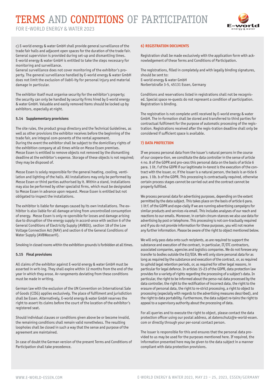FOR E-WORLD ENERGY & WATER 2023



c) E-world energy & water GmbH shall provide general surveillance of the trade fair halls and adjacent open spaces for the duration of the trade fair. General supervision is provided during set-up and dismantling times. E-world energy & water GmbH is entitled to take the steps necessary for monitoring and surveillance.

General surveillance does not cover monitoring of the exhibitor's property. The general surveillance handled by E-world energy & water GmbH does not limit the exclusion of liabil-ity for personal injury and material damage in particular.

The exhibitor itself must organise security for the exhibitor's property; the security can only be handled by security firms hired by E-world energy & water GmbH. Valuable and easily removed items should be locked up by exhibitors, especially at night.

#### **5.14 Supplementary provisions**

The site rules, the product group directory and the Technical Guidelines, as well as other provisions the exhibitor receives before the beginning of the trade fair, are integral com-ponents of the rental agreement. During the event the exhibitor shall be subject to the domiciliary rights of the exhibition company at all times while on Messe Essen premises. Messe Essen is entitled to remove objects not removed by the dismantling deadline at the exhibitor's expense. Storage of these objects is not required; they may be disposed of.

Messe Essen is solely responsible for the general heating, cooling, ventilation and lighting of the halls. All installations may only be performed by Messe Essen or third parties authorised by it. Within a stand, installations may also be performed by other specialist firms, which must be designated to Messe Essen in advance upon request. Messe Essen is entitled but not obligated to inspect the installations.

The exhibitor is liable for damages caused by its own installations. The exhibitor is also liable for all damage arising from uncontrolled consumption of energy. Messe Essen is only re-sponsible for losses and damage arising due to disruption of the energy supply in accord-ance with section 6 of the General Conditions of Electricity Supply (AVBElt), section 18 of the Low Voltage Connection Act (NAV) and section 6 of the General Conditions of Water Supply (AVBWasserV).

Smoking in closed rooms within the exhibition grounds is forbidden at all times.

#### **5.15 Final provisions**

All claims of the exhibitor against E-world energy & water GmbH must be asserted in writ-ing. They shall expire within 12 months from the end of the year in which they arose. Ar-rangements deviating from these conditions must be made in writing.

German law with the exclusion of the UN Convention on International Sale of Goods (CISG) applies exclusively. The place of fulfilment and jurisdiction shall be Essen. Alternatively, E-world energy & water GmbH reserves the right to assert its claims before the court of the location of the exhibitor's registered seat.

Should individual clauses or conditions given above be or become invalid, the remaining conditions shall remain valid nonetheless. The resulting loopholes shall be closed in such a way that the sense and purpose of the agreement are maintained.

In case of doubt the German version of the present Terms and Conditions of Participation shall take precedence.

#### **6) REGISTRATION DOCUMENTS**

Registration shall be made exclusively with the application form with acknowledgement of these Terms and Conditions of Participation.

The registrations, filled in completely and with legally binding signatures, should be sent to: E-world energy & water GmbH Norbertstraße 3-5, 45131 Essen, Germany

Conditions and reservations listed in registrations shall not be recognised. Special space re-quests do not represent a condition of participation. Registration is binding.

The registration is not complete until received by E-world energy & water GmbH. The in-formation shall be stored and transferred to third parties for contractual fulfilment for the purpose of automatic processing of the registration. Registrations received after the regis-tration deadline shall only be considered if sufficient space is available.

#### **7) DATA PROTECTION**

If we process personal data from the issuer's natural persons in the course of our coopera-tion, we constitute the data controller in the sense of article 4 no. 8 of the GDPR and pro-cess this personal data on the basis of article 6 para. 1 lit. f of the GDPR if our legitimate in-terest is the execution of the contract with the issuer, or, if the issuer is a natural person, the basis is ar-ticle 6 para. 1 lib. b of the GDPR. This processing is contractually required, otherwise certain process stages cannot be carried out and the contract cannot be properly fulfilled.

We process personal data for advertising purposes, depending on the extent permitted by the data subject. This takes place on the basis of article 6 para. 1 lit f. of the GDPR and espe-cially if we are running advertising campaigns for similar products and services via email. This includes analyses of our reach and reactions to our emails. Moreover, in certain circum-stances we also use data for advertising by post or telephone. This processing is not con-tractually required and if you do not provide information for these purposes, you will not receive any further information. Please be aware of the right to object mentioned below.

We will only pass data onto such recipients, as are required to support the substance and execution of the contract, in particular, IT/ITC contractors, associated companies, agencies and logistics companies. We do not foresee any transfer to bodies outside the EU/EEA. We will only store personal data for as long as required by the substance and execution of the contract, or, as required to uphold legal retention periods, or, as required for other legal reasons, in particular for legal defence. In articles 15-23 of the GDPR, data protection law provides for a variety of rights regarding the processing of a subject's data. In particular, the right to be informed about the perso-nal data processed by the data controller, the right to the rectification of incorrect data, the right to the erasure of personal data, the right to re-strict processing, a right to object to processing (especially with regards to the advertising measures described), and the right to data portability. Furthermore, the data subject re-tains the right to appeal to a supervisory authority about the processing of data.

For all queries and to execute the right to object, please contact the data protection officer using our postal address, at datenschutz@e-world-essen. com or directly through your per-sonal contact person.

The issuer is responsible for this and ensures that the personal data provided to us may be used for the purposes mentioned here. If required, the information presented here may be given to the data subject in a manner compliant with data protection provisions.